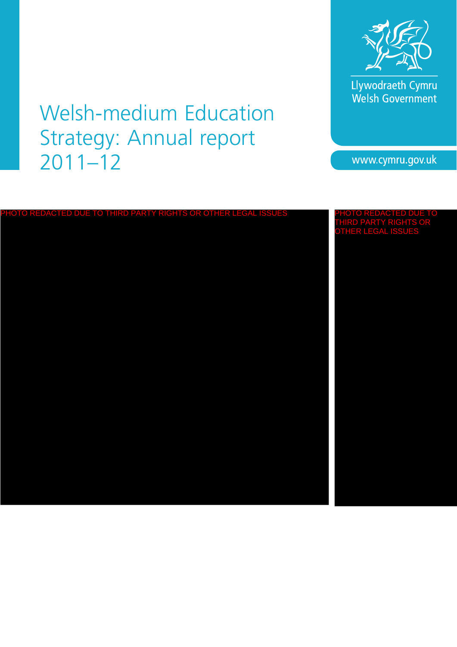

Llywodraeth Cymru<br>Welsh Government

# Welsh-medium Education Strategy: Annual report 2011–12

www.cymru.gov.uk

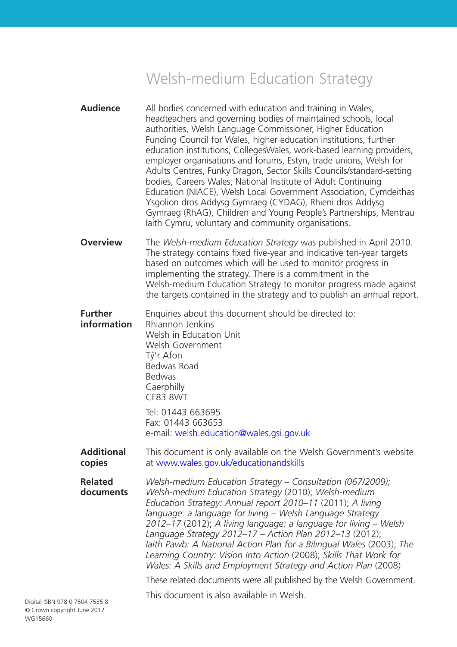# Welsh-medium Education Strategy

- **Audience** All bodies concerned with education and training in Wales, headteachers and governing bodies of maintained schools, local authorities, Welsh Language Commissioner, Higher Education Funding Council for Wales, higher education institutions, further education institutions, CollegesWales, work-based learning providers, employer organisations and forums, Estyn, trade unions, Welsh for Adults Centres, Funky Dragon, Sector Skills Councils/standard-setting bodies, Careers Wales, National Institute of Adult Continuing Education (NIACE), Welsh Local Government Association, Cymdeithas Ysgolion dros Addysg Gymraeg (CYDAG), Rhieni dros Addysg Gymraeg (RhAG), Children and Young People's Partnerships, Mentrau Iaith Cymru, voluntary and community organisations.
- **Overview** The *Welsh-medium Education Strategy* was published in April 2010. The strategy contains fixed five-year and indicative ten-year targets based on outcomes which will be used to monitor progress in implementing the strategy. There is a commitment in the Welsh-medium Education Strategy to monitor progress made against the targets contained in the strategy and to publish an annual report.
- **Further** Enquiries about this document should be directed to: **information** Rhiannon Jenkins Welsh in Education Unit Welsh Government
	- Tŷ'r Afon Bedwas Road Bedwas **Caerphilly** CF83 8WT Tel: 01443 663695

Fax: 01443 663653 e-mail: welsh.education@wales.gsi.gov.uk

- **Additional** This document is only available on the Welsh Government's website **copies** at www.wales.gov.uk/educationandskills
- **Related** *Welsh-medium Education Strategy Consultation (067/2009);* **documents** *Welsh-medium Education Strategy* (2010); *Welsh-medium Education Strategy: Annual report 2010–11* (2011); *A living language: a language for living – Welsh Language Strategy 2012–17* (2012); *A living language: a language for living – Welsh Language Strategy 2012–17 – Action Plan 2012–13* (2012); *Iaith Pawb: A National Action Plan for a Bilingual Wales* (2003); *The Learning Country: Vision Into Action* (2008); *Skills That Work for Wales: A Skills and Employment Strategy and Action Plan (2008)*

These related documents were all published by the Welsh Government.

This document is also available in Welsh.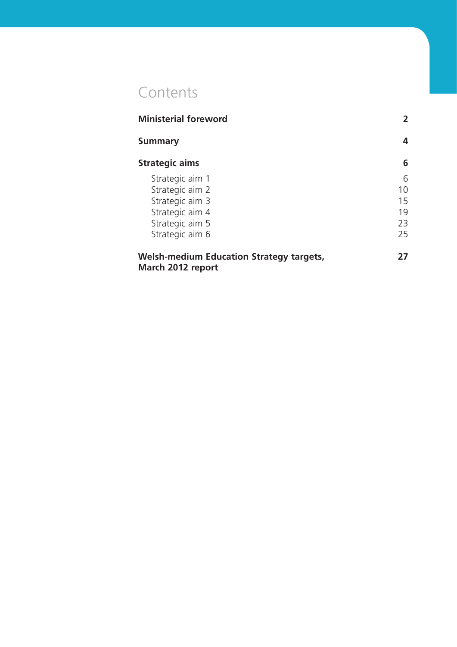# Contents

| <b>Ministerial foreword</b>                                          | 2  |
|----------------------------------------------------------------------|----|
| <b>Summary</b>                                                       | 4  |
| <b>Strategic aims</b>                                                | 6  |
| Strategic aim 1                                                      | 6  |
| Strategic aim 2                                                      | 10 |
| Strategic aim 3                                                      | 15 |
| Strategic aim 4                                                      | 19 |
| Strategic aim 5                                                      | 23 |
| Strategic aim 6                                                      | 25 |
| <b>Welsh-medium Education Strategy targets,</b><br>March 2012 report | 27 |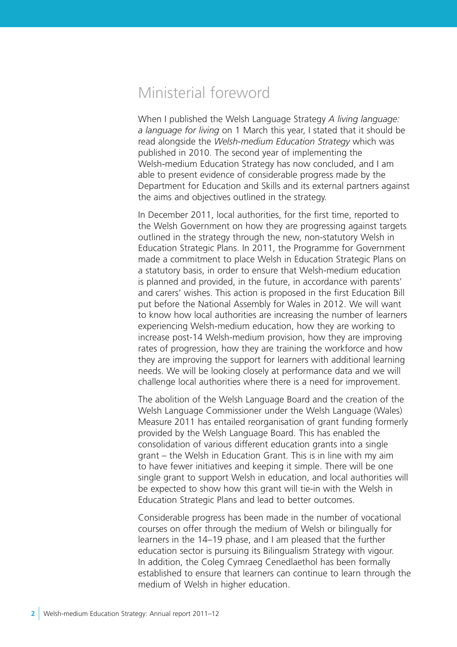# Ministerial foreword

When I published the Welsh Language Strategy *A living language: a language for living* on 1 March this year, I stated that it should be read alongside the *Welsh-medium Education Strategy* which was published in 2010. The second year of implementing the Welsh-medium Education Strategy has now concluded, and I am able to present evidence of considerable progress made by the Department for Education and Skills and its external partners against the aims and objectives outlined in the strategy.

In December 2011, local authorities, for the first time, reported to the Welsh Government on how they are progressing against targets outlined in the strategy through the new, non-statutory Welsh in Education Strategic Plans. In 2011, the Programme for Government made a commitment to place Welsh in Education Strategic Plans on a statutory basis, in order to ensure that Welsh-medium education is planned and provided, in the future, in accordance with parents' and carers' wishes. This action is proposed in the first Education Bill put before the National Assembly for Wales in 2012. We will want to know how local authorities are increasing the number of learners experiencing Welsh-medium education, how they are working to increase post-14 Welsh-medium provision, how they are improving rates of progression, how they are training the workforce and how they are improving the support for learners with additional learning needs. We will be looking closely at performance data and we will challenge local authorities where there is a need for improvement.

The abolition of the Welsh Language Board and the creation of the Welsh Language Commissioner under the Welsh Language (Wales) Measure 2011 has entailed reorganisation of grant funding formerly provided by the Welsh Language Board. This has enabled the consolidation of various different education grants into a single grant – the Welsh in Education Grant. This is in line with my aim to have fewer initiatives and keeping it simple. There will be one single grant to support Welsh in education, and local authorities will be expected to show how this grant will tie-in with the Welsh in Education Strategic Plans and lead to better outcomes.

Considerable progress has been made in the number of vocational courses on offer through the medium of Welsh or bilingually for learners in the 14–19 phase, and I am pleased that the further education sector is pursuing its Bilingualism Strategy with vigour. In addition, the Coleg Cymraeg Cenedlaethol has been formally established to ensure that learners can continue to learn through the medium of Welsh in higher education.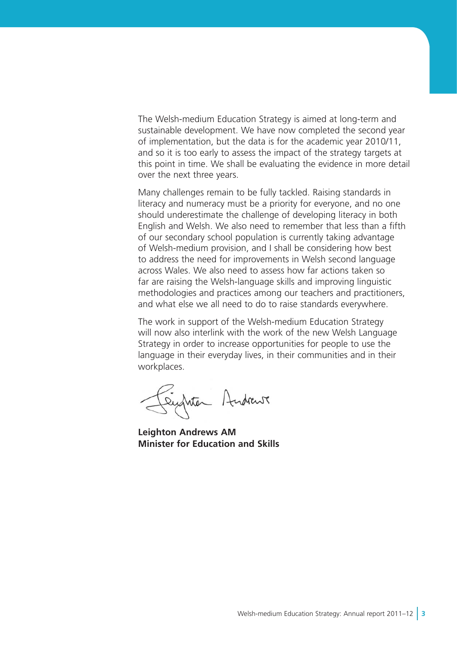The Welsh-medium Education Strategy is aimed at long-term and sustainable development. We have now completed the second year of implementation, but the data is for the academic year 2010/11, and so it is too early to assess the impact of the strategy targets at this point in time. We shall be evaluating the evidence in more detail over the next three years.

Many challenges remain to be fully tackled. Raising standards in literacy and numeracy must be a priority for everyone, and no one should underestimate the challenge of developing literacy in both English and Welsh. We also need to remember that less than a fifth of our secondary school population is currently taking advantage of Welsh-medium provision, and I shall be considering how best to address the need for improvements in Welsh second language across Wales. We also need to assess how far actions taken so far are raising the Welsh-language skills and improving linguistic methodologies and practices among our teachers and practitioners, and what else we all need to do to raise standards everywhere.

The work in support of the Welsh-medium Education Strategy will now also interlink with the work of the new Welsh Language Strategy in order to increase opportunities for people to use the language in their everyday lives, in their communities and in their workplaces.

Suptor Andrews

**Leighton Andrews AM Minister for Education and Skills**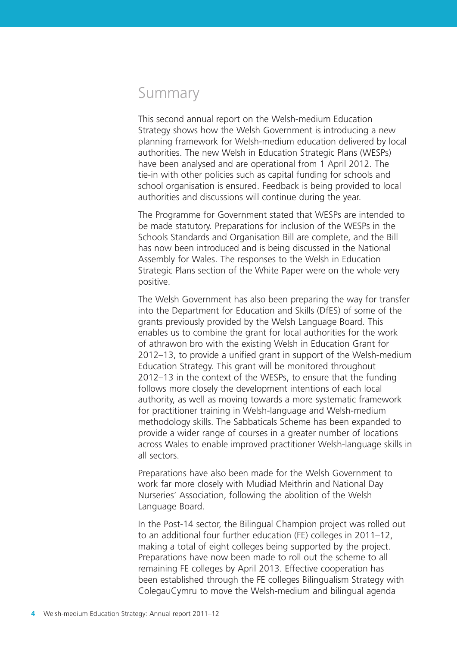# Summary

This second annual report on the Welsh-medium Education Strategy shows how the Welsh Government is introducing a new planning framework for Welsh-medium education delivered by local authorities. The new Welsh in Education Strategic Plans (WESPs) have been analysed and are operational from 1 April 2012. The tie-in with other policies such as capital funding for schools and school organisation is ensured. Feedback is being provided to local authorities and discussions will continue during the year.

The Programme for Government stated that WESPs are intended to be made statutory. Preparations for inclusion of the WESPs in the Schools Standards and Organisation Bill are complete, and the Bill has now been introduced and is being discussed in the National Assembly for Wales. The responses to the Welsh in Education Strategic Plans section of the White Paper were on the whole very positive.

The Welsh Government has also been preparing the way for transfer into the Department for Education and Skills (DfES) of some of the grants previously provided by the Welsh Language Board. This enables us to combine the grant for local authorities for the work of athrawon bro with the existing Welsh in Education Grant for 2012–13, to provide a unified grant in support of the Welsh-medium Education Strategy. This grant will be monitored throughout 2012–13 in the context of the WESPs, to ensure that the funding follows more closely the development intentions of each local authority, as well as moving towards a more systematic framework for practitioner training in Welsh-language and Welsh-medium methodology skills. The Sabbaticals Scheme has been expanded to provide a wider range of courses in a greater number of locations across Wales to enable improved practitioner Welsh-language skills in all sectors.

Preparations have also been made for the Welsh Government to work far more closely with Mudiad Meithrin and National Day Nurseries' Association, following the abolition of the Welsh Language Board.

In the Post-14 sector, the Bilingual Champion project was rolled out to an additional four further education (FE) colleges in 2011–12, making a total of eight colleges being supported by the project. Preparations have now been made to roll out the scheme to all remaining FE colleges by April 2013. Effective cooperation has been established through the FE colleges Bilingualism Strategy with ColegauCymru to move the Welsh-medium and bilingual agenda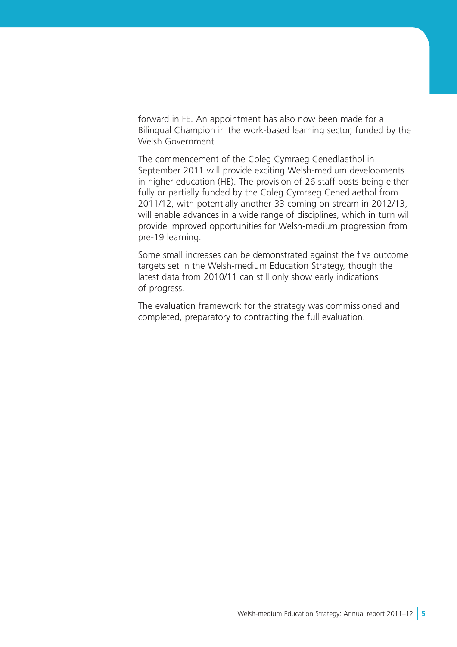forward in FE. An appointment has also now been made for a Bilingual Champion in the work-based learning sector, funded by the Welsh Government.

The commencement of the Coleg Cymraeg Cenedlaethol in September 2011 will provide exciting Welsh-medium developments in higher education (HE). The provision of 26 staff posts being either fully or partially funded by the Coleg Cymraeg Cenedlaethol from 2011/12, with potentially another 33 coming on stream in 2012/13, will enable advances in a wide range of disciplines, which in turn will provide improved opportunities for Welsh-medium progression from pre-19 learning.

Some small increases can be demonstrated against the five outcome targets set in the Welsh-medium Education Strategy, though the latest data from 2010/11 can still only show early indications of progress.

The evaluation framework for the strategy was commissioned and completed, preparatory to contracting the full evaluation.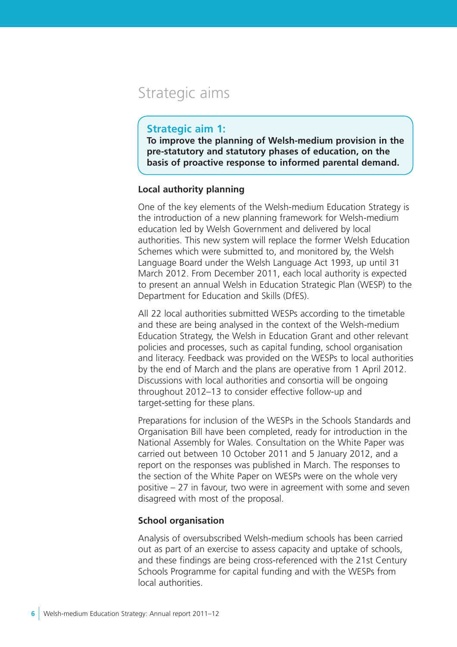# Strategic aims

# **Strategic aim 1:**

**To improve the planning of Welsh-medium provision in the pre-statutory and statutory phases of education, on the basis of proactive response to informed parental demand.** 

# **Local authority planning**

One of the key elements of the Welsh-medium Education Strategy is the introduction of a new planning framework for Welsh-medium education led by Welsh Government and delivered by local authorities. This new system will replace the former Welsh Education Schemes which were submitted to, and monitored by, the Welsh Language Board under the Welsh Language Act 1993, up until 31 March 2012. From December 2011, each local authority is expected to present an annual Welsh in Education Strategic Plan (WESP) to the Department for Education and Skills (DfES).

All 22 local authorities submitted WESPs according to the timetable and these are being analysed in the context of the Welsh-medium Education Strategy, the Welsh in Education Grant and other relevant policies and processes, such as capital funding, school organisation and literacy. Feedback was provided on the WESPs to local authorities by the end of March and the plans are operative from 1 April 2012. Discussions with local authorities and consortia will be ongoing throughout 2012–13 to consider effective follow-up and target-setting for these plans.

Preparations for inclusion of the WESPs in the Schools Standards and Organisation Bill have been completed, ready for introduction in the National Assembly for Wales. Consultation on the White Paper was carried out between 10 October 2011 and 5 January 2012, and a report on the responses was published in March. The responses to the section of the White Paper on WESPs were on the whole very positive – 27 in favour, two were in agreement with some and seven disagreed with most of the proposal.

# **School organisation**

Analysis of oversubscribed Welsh-medium schools has been carried out as part of an exercise to assess capacity and uptake of schools, and these findings are being cross-referenced with the 21st Century Schools Programme for capital funding and with the WESPs from local authorities.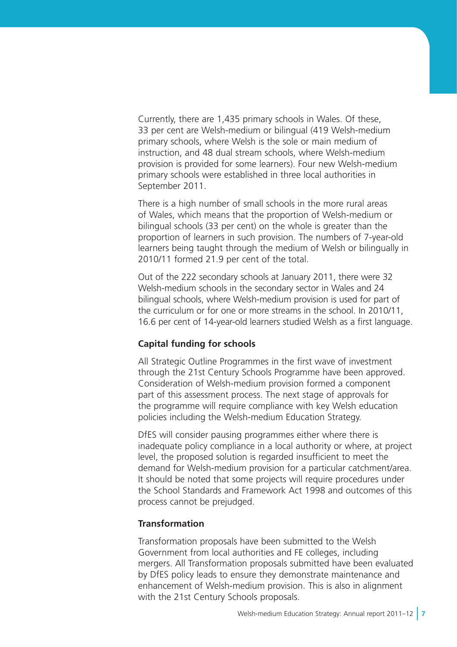Currently, there are 1,435 primary schools in Wales. Of these, 33 per cent are Welsh-medium or bilingual (419 Welsh-medium primary schools, where Welsh is the sole or main medium of instruction, and 48 dual stream schools, where Welsh-medium provision is provided for some learners). Four new Welsh-medium primary schools were established in three local authorities in September 2011.

There is a high number of small schools in the more rural areas of Wales, which means that the proportion of Welsh-medium or bilingual schools (33 per cent) on the whole is greater than the proportion of learners in such provision. The numbers of 7-year-old learners being taught through the medium of Welsh or bilingually in 2010/11 formed 21.9 per cent of the total.

Out of the 222 secondary schools at January 2011, there were 32 Welsh-medium schools in the secondary sector in Wales and 24 bilingual schools, where Welsh-medium provision is used for part of the curriculum or for one or more streams in the school. In 2010/11, 16.6 per cent of 14-year-old learners studied Welsh as a first language.

# **Capital funding for schools**

All Strategic Outline Programmes in the first wave of investment through the 21st Century Schools Programme have been approved. Consideration of Welsh-medium provision formed a component part of this assessment process. The next stage of approvals for the programme will require compliance with key Welsh education policies including the Welsh-medium Education Strategy.

DfES will consider pausing programmes either where there is inadequate policy compliance in a local authority or where, at project level, the proposed solution is regarded insufficient to meet the demand for Welsh-medium provision for a particular catchment/area. It should be noted that some projects will require procedures under the School Standards and Framework Act 1998 and outcomes of this process cannot be prejudged.

# **Transformation**

Transformation proposals have been submitted to the Welsh Government from local authorities and FE colleges, including mergers. All Transformation proposals submitted have been evaluated by DfES policy leads to ensure they demonstrate maintenance and enhancement of Welsh-medium provision. This is also in alignment with the 21st Century Schools proposals.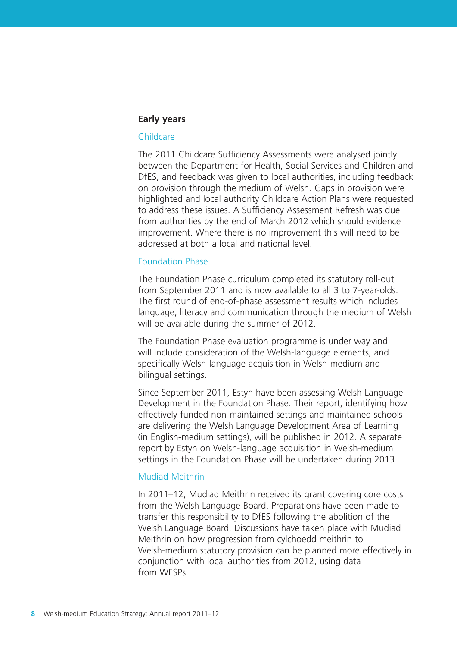#### **Early years**

#### Childcare

The 2011 Childcare Sufficiency Assessments were analysed jointly between the Department for Health, Social Services and Children and DfES, and feedback was given to local authorities, including feedback on provision through the medium of Welsh. Gaps in provision were highlighted and local authority Childcare Action Plans were requested to address these issues. A Sufficiency Assessment Refresh was due from authorities by the end of March 2012 which should evidence improvement. Where there is no improvement this will need to be addressed at both a local and national level.

#### Foundation Phase

The Foundation Phase curriculum completed its statutory roll-out from September 2011 and is now available to all 3 to 7-year-olds. The first round of end-of-phase assessment results which includes language, literacy and communication through the medium of Welsh will be available during the summer of 2012.

The Foundation Phase evaluation programme is under way and will include consideration of the Welsh-language elements, and specifically Welsh-language acquisition in Welsh-medium and bilingual settings.

Since September 2011, Estyn have been assessing Welsh Language Development in the Foundation Phase. Their report, identifying how effectively funded non-maintained settings and maintained schools are delivering the Welsh Language Development Area of Learning (in English-medium settings), will be published in 2012. A separate report by Estyn on Welsh-language acquisition in Welsh-medium settings in the Foundation Phase will be undertaken during 2013.

#### Mudiad Meithrin

In 2011–12, Mudiad Meithrin received its grant covering core costs from the Welsh Language Board. Preparations have been made to transfer this responsibility to DfES following the abolition of the Welsh Language Board. Discussions have taken place with Mudiad Meithrin on how progression from cylchoedd meithrin to Welsh-medium statutory provision can be planned more effectively in conjunction with local authorities from 2012, using data from WESPs.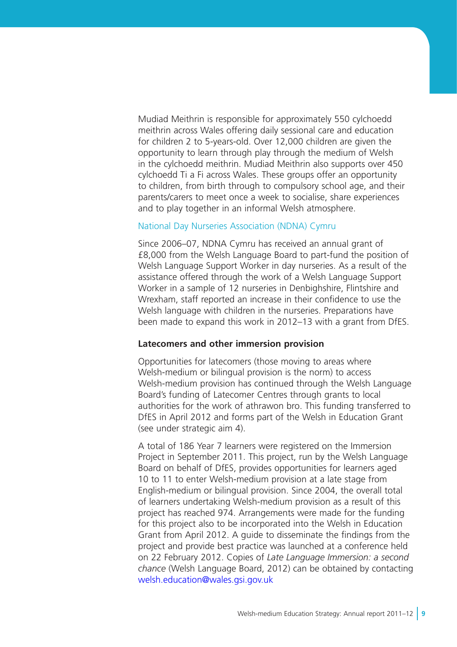Mudiad Meithrin is responsible for approximately 550 cylchoedd meithrin across Wales offering daily sessional care and education for children 2 to 5-years-old. Over 12,000 children are given the opportunity to learn through play through the medium of Welsh in the cylchoedd meithrin. Mudiad Meithrin also supports over 450 cylchoedd Ti a Fi across Wales. These groups offer an opportunity to children, from birth through to compulsory school age, and their parents/carers to meet once a week to socialise, share experiences and to play together in an informal Welsh atmosphere.

#### National Day Nurseries Association (NDNA) Cymru

Since 2006–07, NDNA Cymru has received an annual grant of £8,000 from the Welsh Language Board to part-fund the position of Welsh Language Support Worker in day nurseries. As a result of the assistance offered through the work of a Welsh Language Support Worker in a sample of 12 nurseries in Denbighshire, Flintshire and Wrexham, staff reported an increase in their confidence to use the Welsh language with children in the nurseries. Preparations have been made to expand this work in 2012–13 with a grant from DfES.

#### **Latecomers and other immersion provision**

Opportunities for latecomers (those moving to areas where Welsh-medium or bilingual provision is the norm) to access Welsh-medium provision has continued through the Welsh Language Board's funding of Latecomer Centres through grants to local authorities for the work of athrawon bro. This funding transferred to DfES in April 2012 and forms part of the Welsh in Education Grant (see under strategic aim 4).

A total of 186 Year 7 learners were registered on the Immersion Project in September 2011. This project, run by the Welsh Language Board on behalf of DfES, provides opportunities for learners aged 10 to 11 to enter Welsh-medium provision at a late stage from English-medium or bilingual provision. Since 2004, the overall total of learners undertaking Welsh-medium provision as a result of this project has reached 974. Arrangements were made for the funding for this project also to be incorporated into the Welsh in Education Grant from April 2012. A guide to disseminate the findings from the project and provide best practice was launched at a conference held on 22 February 2012. Copies of *Late Language Immersion: a second chance* (Welsh Language Board, 2012) can be obtained by contacting welsh.education@wales.gsi.gov.uk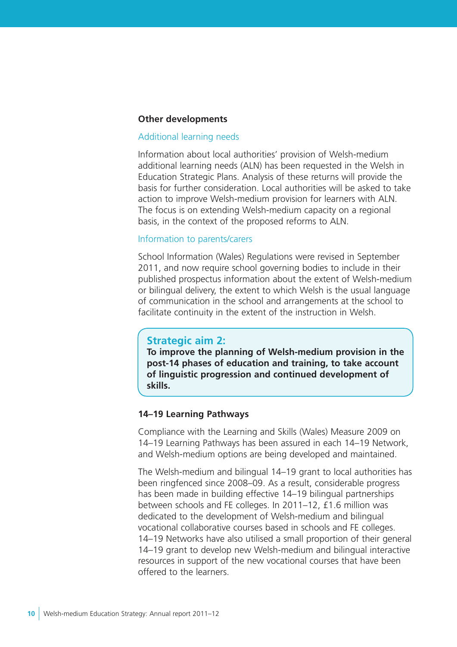#### **Other developments**

#### Additional learning needs

Information about local authorities' provision of Welsh-medium additional learning needs (ALN) has been requested in the Welsh in Education Strategic Plans. Analysis of these returns will provide the basis for further consideration. Local authorities will be asked to take action to improve Welsh-medium provision for learners with ALN. The focus is on extending Welsh-medium capacity on a regional basis, in the context of the proposed reforms to ALN.

#### Information to parents/carers

School Information (Wales) Regulations were revised in September 2011, and now require school governing bodies to include in their published prospectus information about the extent of Welsh-medium or bilingual delivery, the extent to which Welsh is the usual language of communication in the school and arrangements at the school to facilitate continuity in the extent of the instruction in Welsh.

# **Strategic aim 2:**

**To improve the planning of Welsh-medium provision in the post-14 phases of education and training, to take account of linguistic progression and continued development of skills.**

#### **14–19 Learning Pathways**

Compliance with the Learning and Skills (Wales) Measure 2009 on 14–19 Learning Pathways has been assured in each 14–19 Network, and Welsh-medium options are being developed and maintained.

The Welsh-medium and bilingual 14–19 grant to local authorities has been ringfenced since 2008–09. As a result, considerable progress has been made in building effective 14–19 bilingual partnerships between schools and FE colleges. In 2011–12, £1.6 million was dedicated to the development of Welsh-medium and bilingual vocational collaborative courses based in schools and FE colleges. 14–19 Networks have also utilised a small proportion of their general 14–19 grant to develop new Welsh-medium and bilingual interactive resources in support of the new vocational courses that have been offered to the learners.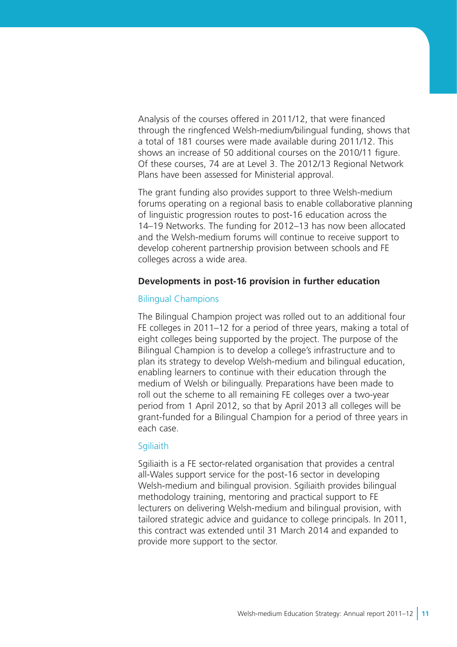Analysis of the courses offered in 2011/12, that were financed through the ringfenced Welsh-medium/bilingual funding, shows that a total of 181 courses were made available during 2011/12. This shows an increase of 50 additional courses on the 2010/11 figure. Of these courses, 74 are at Level 3. The 2012/13 Regional Network Plans have been assessed for Ministerial approval.

The grant funding also provides support to three Welsh-medium forums operating on a regional basis to enable collaborative planning of linguistic progression routes to post-16 education across the 14–19 Networks. The funding for 2012–13 has now been allocated and the Welsh-medium forums will continue to receive support to develop coherent partnership provision between schools and FE colleges across a wide area.

#### **Developments in post-16 provision in further education**

#### Bilingual Champions

The Bilingual Champion project was rolled out to an additional four FE colleges in 2011–12 for a period of three years, making a total of eight colleges being supported by the project. The purpose of the Bilingual Champion is to develop a college's infrastructure and to plan its strategy to develop Welsh-medium and bilingual education, enabling learners to continue with their education through the medium of Welsh or bilingually. Preparations have been made to roll out the scheme to all remaining FE colleges over a two-year period from 1 April 2012, so that by April 2013 all colleges will be grant-funded for a Bilingual Champion for a period of three years in each case.

#### **Sgiliaith**

Sgiliaith is a FE sector-related organisation that provides a central all-Wales support service for the post-16 sector in developing Welsh-medium and bilingual provision. Sgiliaith provides bilingual methodology training, mentoring and practical support to FE lecturers on delivering Welsh-medium and bilingual provision, with tailored strategic advice and guidance to college principals. In 2011, this contract was extended until 31 March 2014 and expanded to provide more support to the sector.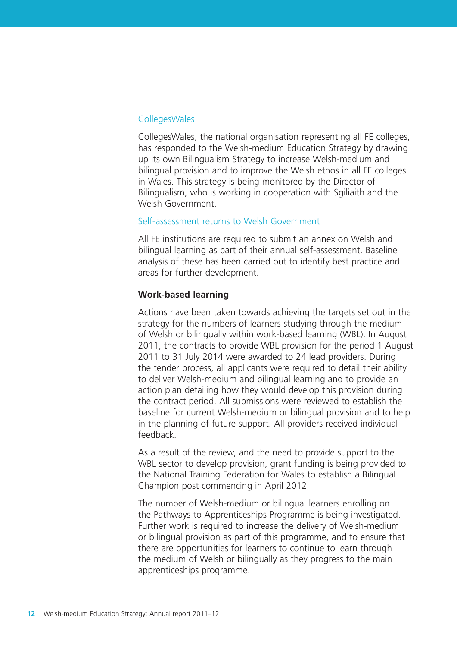#### CollegesWales

CollegesWales, the national organisation representing all FE colleges, has responded to the Welsh-medium Education Strategy by drawing up its own Bilingualism Strategy to increase Welsh-medium and bilingual provision and to improve the Welsh ethos in all FE colleges in Wales. This strategy is being monitored by the Director of Bilingualism, who is working in cooperation with Sgiliaith and the Welsh Government

#### Self-assessment returns to Welsh Government

All FE institutions are required to submit an annex on Welsh and bilingual learning as part of their annual self-assessment. Baseline analysis of these has been carried out to identify best practice and areas for further development.

#### **Work-based learning**

Actions have been taken towards achieving the targets set out in the strategy for the numbers of learners studying through the medium of Welsh or bilingually within work-based learning (WBL). In August 2011, the contracts to provide WBL provision for the period 1 August 2011 to 31 July 2014 were awarded to 24 lead providers. During the tender process, all applicants were required to detail their ability to deliver Welsh-medium and bilingual learning and to provide an action plan detailing how they would develop this provision during the contract period. All submissions were reviewed to establish the baseline for current Welsh-medium or bilingual provision and to help in the planning of future support. All providers received individual feedback.

As a result of the review, and the need to provide support to the WBL sector to develop provision, grant funding is being provided to the National Training Federation for Wales to establish a Bilingual Champion post commencing in April 2012.

The number of Welsh-medium or bilingual learners enrolling on the Pathways to Apprenticeships Programme is being investigated. Further work is required to increase the delivery of Welsh-medium or bilingual provision as part of this programme, and to ensure that there are opportunities for learners to continue to learn through the medium of Welsh or bilingually as they progress to the main apprenticeships programme.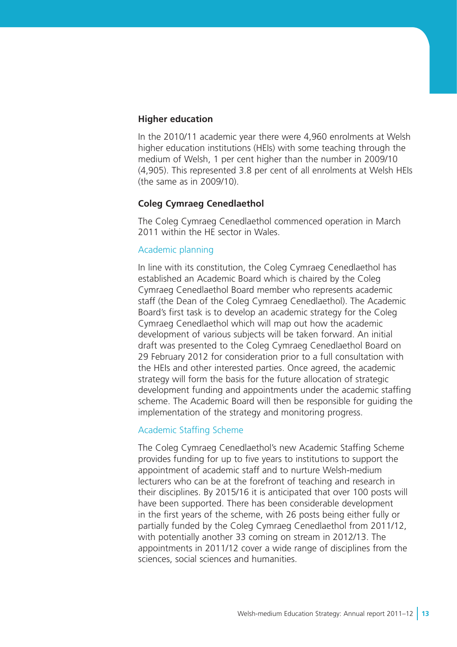#### **Higher education**

In the 2010/11 academic year there were 4,960 enrolments at Welsh higher education institutions (HEIs) with some teaching through the medium of Welsh, 1 per cent higher than the number in 2009/10 (4,905). This represented 3.8 per cent of all enrolments at Welsh HEIs (the same as in 2009/10).

# **Coleg Cymraeg Cenedlaethol**

The Coleg Cymraeg Cenedlaethol commenced operation in March 2011 within the HE sector in Wales.

#### Academic planning

In line with its constitution, the Coleg Cymraeg Cenedlaethol has established an Academic Board which is chaired by the Coleg Cymraeg Cenedlaethol Board member who represents academic staff (the Dean of the Coleg Cymraeg Cenedlaethol). The Academic Board's first task is to develop an academic strategy for the Coleg Cymraeg Cenedlaethol which will map out how the academic development of various subjects will be taken forward. An initial draft was presented to the Coleg Cymraeg Cenedlaethol Board on 29 February 2012 for consideration prior to a full consultation with the HEIs and other interested parties. Once agreed, the academic strategy will form the basis for the future allocation of strategic development funding and appointments under the academic staffing scheme. The Academic Board will then be responsible for guiding the implementation of the strategy and monitoring progress.

#### Academic Staffing Scheme

The Coleg Cymraeg Cenedlaethol's new Academic Staffing Scheme provides funding for up to five years to institutions to support the appointment of academic staff and to nurture Welsh-medium lecturers who can be at the forefront of teaching and research in their disciplines. By 2015/16 it is anticipated that over 100 posts will have been supported. There has been considerable development in the first years of the scheme, with 26 posts being either fully or partially funded by the Coleg Cymraeg Cenedlaethol from 2011/12, with potentially another 33 coming on stream in 2012/13. The appointments in 2011/12 cover a wide range of disciplines from the sciences, social sciences and humanities.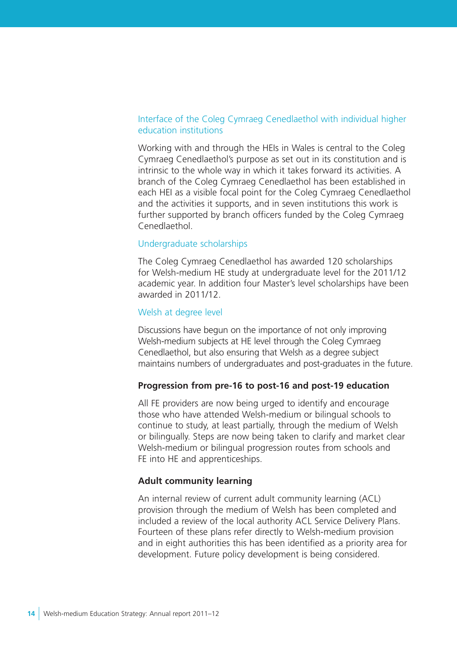# Interface of the Coleg Cymraeg Cenedlaethol with individual higher education institutions

Working with and through the HEIs in Wales is central to the Coleg Cymraeg Cenedlaethol's purpose as set out in its constitution and is intrinsic to the whole way in which it takes forward its activities. A branch of the Coleg Cymraeg Cenedlaethol has been established in each HEI as a visible focal point for the Coleg Cymraeg Cenedlaethol and the activities it supports, and in seven institutions this work is further supported by branch officers funded by the Coleg Cymraeg Cenedlaethol.

# Undergraduate scholarships

The Coleg Cymraeg Cenedlaethol has awarded 120 scholarships for Welsh-medium HE study at undergraduate level for the 2011/12 academic year. In addition four Master's level scholarships have been awarded in 2011/12.

#### Welsh at degree level

Discussions have begun on the importance of not only improving Welsh-medium subjects at HE level through the Coleg Cymraeg Cenedlaethol, but also ensuring that Welsh as a degree subject maintains numbers of undergraduates and post-graduates in the future.

#### **Progression from pre-16 to post-16 and post-19 education**

All FE providers are now being urged to identify and encourage those who have attended Welsh-medium or bilingual schools to continue to study, at least partially, through the medium of Welsh or bilingually. Steps are now being taken to clarify and market clear Welsh-medium or bilingual progression routes from schools and FE into HE and apprenticeships.

#### **Adult community learning**

An internal review of current adult community learning (ACL) provision through the medium of Welsh has been completed and included a review of the local authority ACL Service Delivery Plans. Fourteen of these plans refer directly to Welsh-medium provision and in eight authorities this has been identified as a priority area for development. Future policy development is being considered.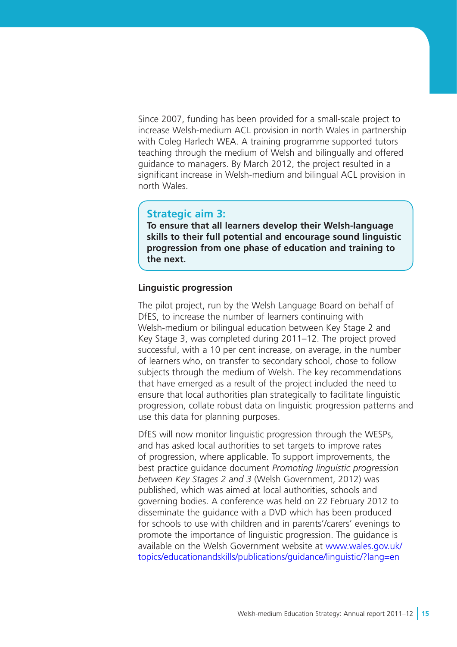Since 2007, funding has been provided for a small-scale project to increase Welsh-medium ACL provision in north Wales in partnership with Coleg Harlech WEA. A training programme supported tutors teaching through the medium of Welsh and bilingually and offered guidance to managers. By March 2012, the project resulted in a significant increase in Welsh-medium and bilingual ACL provision in north Wales.

# **Strategic aim 3:**

**To ensure that all learners develop their Welsh-language skills to their full potential and encourage sound linguistic progression from one phase of education and training to the next.**

#### **Linguistic progression**

The pilot project, run by the Welsh Language Board on behalf of DfES, to increase the number of learners continuing with Welsh-medium or bilingual education between Key Stage 2 and Key Stage 3, was completed during 2011–12. The project proved successful, with a 10 per cent increase, on average, in the number of learners who, on transfer to secondary school, chose to follow subjects through the medium of Welsh. The key recommendations that have emerged as a result of the project included the need to ensure that local authorities plan strategically to facilitate linguistic progression, collate robust data on linguistic progression patterns and use this data for planning purposes.

DfES will now monitor linguistic progression through the WESPs, and has asked local authorities to set targets to improve rates of progression, where applicable. To support improvements, the best practice guidance document *Promoting linguistic progression between Key Stages 2 and 3* (Welsh Government, 2012) was published, which was aimed at local authorities, schools and governing bodies. A conference was held on 22 February 2012 to disseminate the guidance with a DVD which has been produced for schools to use with children and in parents'/carers' evenings to promote the importance of linguistic progression. The guidance is available on the Welsh Government website at [www.wales.gov.uk/](http://wales.gov.uk/topics/educationandskills/publications/guidance/linguistic/?lang=en) [topics/educationandskills/publications/guidance/linguistic/?lang=en](http://wales.gov.uk/topics/educationandskills/publications/guidance/linguistic/?lang=en)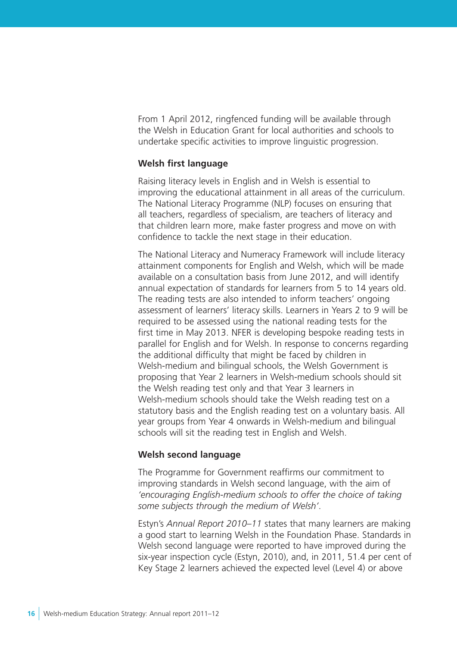From 1 April 2012, ringfenced funding will be available through the Welsh in Education Grant for local authorities and schools to undertake specific activities to improve linguistic progression.

#### **Welsh first language**

Raising literacy levels in English and in Welsh is essential to improving the educational attainment in all areas of the curriculum. The National Literacy Programme (NLP) focuses on ensuring that all teachers, regardless of specialism, are teachers of literacy and that children learn more, make faster progress and move on with confidence to tackle the next stage in their education.

The National Literacy and Numeracy Framework will include literacy attainment components for English and Welsh, which will be made available on a consultation basis from June 2012, and will identify annual expectation of standards for learners from 5 to 14 years old. The reading tests are also intended to inform teachers' ongoing assessment of learners' literacy skills. Learners in Years 2 to 9 will be required to be assessed using the national reading tests for the first time in May 2013. NFER is developing bespoke reading tests in parallel for English and for Welsh. In response to concerns regarding the additional difficulty that might be faced by children in Welsh-medium and bilingual schools, the Welsh Government is proposing that Year 2 learners in Welsh-medium schools should sit the Welsh reading test only and that Year 3 learners in Welsh-medium schools should take the Welsh reading test on a statutory basis and the English reading test on a voluntary basis. All year groups from Year 4 onwards in Welsh-medium and bilingual schools will sit the reading test in English and Welsh.

#### **Welsh second language**

The Programme for Government reaffirms our commitment to improving standards in Welsh second language, with the aim of *'encouraging English-medium schools to offer the choice of taking some subjects through the medium of Welsh'*.

Estyn's *Annual Report 2010–11* states that many learners are making a good start to learning Welsh in the Foundation Phase. Standards in Welsh second language were reported to have improved during the six-year inspection cycle (Estyn, 2010), and, in 2011, 51.4 per cent of Key Stage 2 learners achieved the expected level (Level 4) or above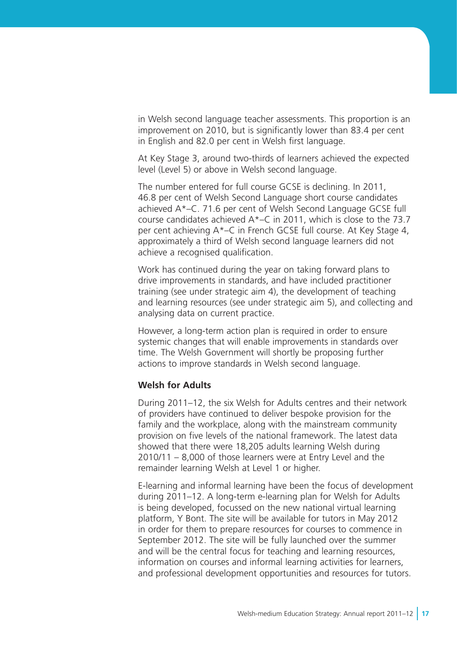in Welsh second language teacher assessments. This proportion is an improvement on 2010, but is significantly lower than 83.4 per cent in English and 82.0 per cent in Welsh first language.

At Key Stage 3, around two-thirds of learners achieved the expected level (Level 5) or above in Welsh second language.

The number entered for full course GCSE is declining. In 2011, 46.8 per cent of Welsh Second Language short course candidates achieved A\*–C. 71.6 per cent of Welsh Second Language GCSE full course candidates achieved A\*–C in 2011, which is close to the 73.7 per cent achieving A\*–C in French GCSE full course. At Key Stage 4, approximately a third of Welsh second language learners did not achieve a recognised qualification.

Work has continued during the year on taking forward plans to drive improvements in standards, and have included practitioner training (see under strategic aim 4), the development of teaching and learning resources (see under strategic aim 5), and collecting and analysing data on current practice.

However, a long-term action plan is required in order to ensure systemic changes that will enable improvements in standards over time. The Welsh Government will shortly be proposing further actions to improve standards in Welsh second language.

#### **Welsh for Adults**

During 2011–12, the six Welsh for Adults centres and their network of providers have continued to deliver bespoke provision for the family and the workplace, along with the mainstream community provision on five levels of the national framework. The latest data showed that there were 18,205 adults learning Welsh during 2010/11 – 8,000 of those learners were at Entry Level and the remainder learning Welsh at Level 1 or higher.

E-learning and informal learning have been the focus of development during 2011–12. A long-term e-learning plan for Welsh for Adults is being developed, focussed on the new national virtual learning platform, Y Bont. The site will be available for tutors in May 2012 in order for them to prepare resources for courses to commence in September 2012. The site will be fully launched over the summer and will be the central focus for teaching and learning resources, information on courses and informal learning activities for learners, and professional development opportunities and resources for tutors.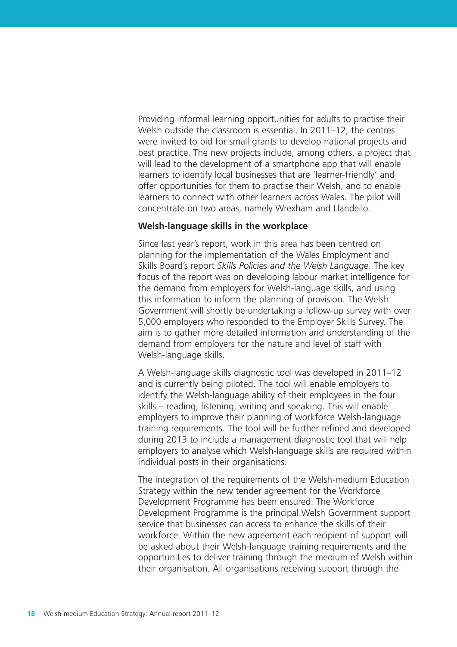Providing informal learning opportunities for adults to practise their Welsh outside the classroom is essential. In 2011–12, the centres were invited to bid for small grants to develop national projects and best practice. The new projects include, among others, a project that will lead to the development of a smartphone app that will enable learners to identify local businesses that are 'learner-friendly' and offer opportunities for them to practise their Welsh, and to enable learners to connect with other learners across Wales. The pilot will concentrate on two areas, namely Wrexham and Llandeilo.

#### **Welsh-language skills in the workplace**

Since last year's report, work in this area has been centred on planning for the implementation of the Wales Employment and Skills Board's report *Skills Policies and the Welsh Language*. The key focus of the report was on developing labour market intelligence for the demand from employers for Welsh-language skills, and using this information to inform the planning of provision. The Welsh Government will shortly be undertaking a follow-up survey with over 5,000 employers who responded to the Employer Skills Survey. The aim is to gather more detailed information and understanding of the demand from employers for the nature and level of staff with Welsh-language skills.

A Welsh-language skills diagnostic tool was developed in 2011–12 and is currently being piloted. The tool will enable employers to identify the Welsh-language ability of their employees in the four skills – reading, listening, writing and speaking. This will enable employers to improve their planning of workforce Welsh-language training requirements. The tool will be further refined and developed during 2013 to include a management diagnostic tool that will help employers to analyse which Welsh-language skills are required within individual posts in their organisations.

The integration of the requirements of the Welsh-medium Education Strategy within the new tender agreement for the Workforce Development Programme has been ensured. The Workforce Development Programme is the principal Welsh Government support service that businesses can access to enhance the skills of their workforce. Within the new agreement each recipient of support will be asked about their Welsh-language training requirements and the opportunities to deliver training through the medium of Welsh within their organisation. All organisations receiving support through the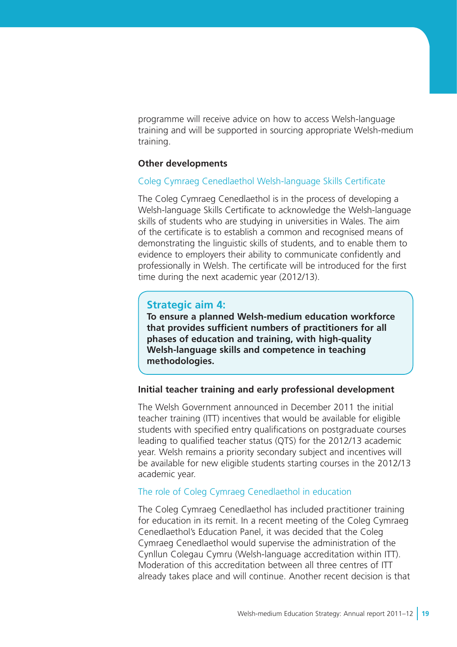programme will receive advice on how to access Welsh-language training and will be supported in sourcing appropriate Welsh-medium training.

#### **Other developments**

#### Coleg Cymraeg Cenedlaethol Welsh-language Skills Certificate

The Coleg Cymraeg Cenedlaethol is in the process of developing a Welsh-language Skills Certificate to acknowledge the Welsh-language skills of students who are studying in universities in Wales. The aim of the certificate is to establish a common and recognised means of demonstrating the linguistic skills of students, and to enable them to evidence to employers their ability to communicate confidently and professionally in Welsh. The certificate will be introduced for the first time during the next academic year (2012/13).

#### **Strategic aim 4:**

**To ensure a planned Welsh-medium education workforce that provides sufficient numbers of practitioners for all phases of education and training, with high-quality Welsh-language skills and competence in teaching methodologies.**

#### **Initial teacher training and early professional development**

The Welsh Government announced in December 2011 the initial teacher training (ITT) incentives that would be available for eligible students with specified entry qualifications on postgraduate courses leading to qualified teacher status (QTS) for the 2012/13 academic year. Welsh remains a priority secondary subject and incentives will be available for new eligible students starting courses in the 2012/13 academic year.

#### The role of Coleg Cymraeg Cenedlaethol in education

The Coleg Cymraeg Cenedlaethol has included practitioner training for education in its remit. In a recent meeting of the Coleg Cymraeg Cenedlaethol's Education Panel, it was decided that the Coleg Cymraeg Cenedlaethol would supervise the administration of the Cynllun Colegau Cymru (Welsh-language accreditation within ITT). Moderation of this accreditation between all three centres of ITT already takes place and will continue. Another recent decision is that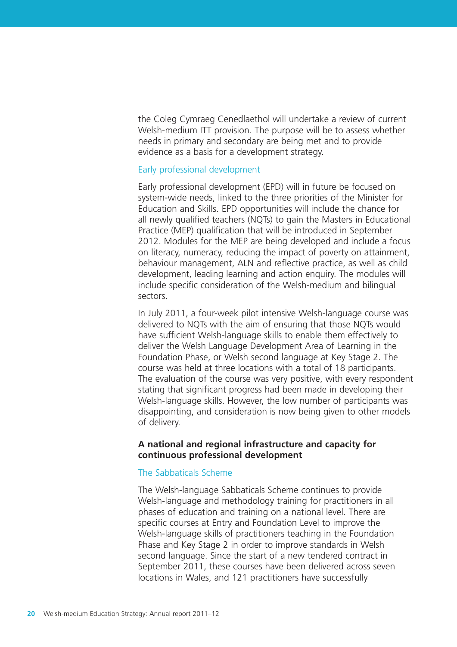the Coleg Cymraeg Cenedlaethol will undertake a review of current Welsh-medium ITT provision. The purpose will be to assess whether needs in primary and secondary are being met and to provide evidence as a basis for a development strategy.

#### Early professional development

Early professional development (EPD) will in future be focused on system-wide needs, linked to the three priorities of the Minister for Education and Skills. EPD opportunities will include the chance for all newly qualified teachers (NQTs) to gain the Masters in Educational Practice (MEP) qualification that will be introduced in September 2012. Modules for the MEP are being developed and include a focus on literacy, numeracy, reducing the impact of poverty on attainment, behaviour management, ALN and reflective practice, as well as child development, leading learning and action enquiry. The modules will include specific consideration of the Welsh-medium and bilingual sectors.

In July 2011, a four-week pilot intensive Welsh-language course was delivered to NQTs with the aim of ensuring that those NQTs would have sufficient Welsh-language skills to enable them effectively to deliver the Welsh Language Development Area of Learning in the Foundation Phase, or Welsh second language at Key Stage 2. The course was held at three locations with a total of 18 participants. The evaluation of the course was very positive, with every respondent stating that significant progress had been made in developing their Welsh-language skills. However, the low number of participants was disappointing, and consideration is now being given to other models of delivery.

#### **A national and regional infrastructure and capacity for continuous professional development**

#### The Sabbaticals Scheme

The Welsh-language Sabbaticals Scheme continues to provide Welsh-language and methodology training for practitioners in all phases of education and training on a national level. There are specific courses at Entry and Foundation Level to improve the Welsh-language skills of practitioners teaching in the Foundation Phase and Key Stage 2 in order to improve standards in Welsh second language. Since the start of a new tendered contract in September 2011, these courses have been delivered across seven locations in Wales, and 121 practitioners have successfully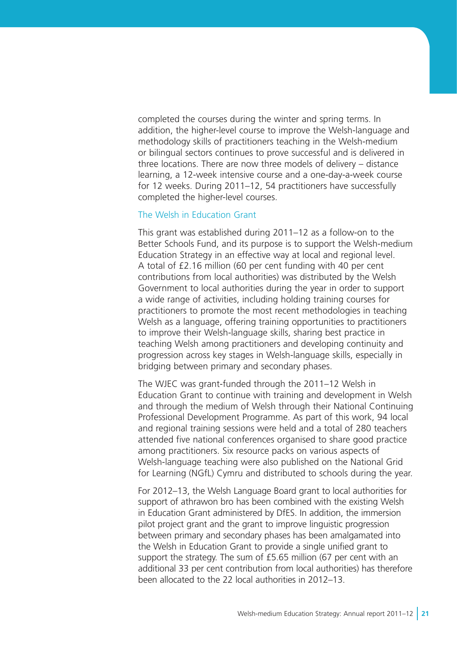completed the courses during the winter and spring terms. In addition, the higher-level course to improve the Welsh-language and methodology skills of practitioners teaching in the Welsh-medium or bilingual sectors continues to prove successful and is delivered in three locations. There are now three models of delivery – distance learning, a 12-week intensive course and a one-day-a-week course for 12 weeks. During 2011–12, 54 practitioners have successfully completed the higher-level courses.

#### The Welsh in Education Grant

This grant was established during 2011–12 as a follow-on to the Better Schools Fund, and its purpose is to support the Welsh-medium Education Strategy in an effective way at local and regional level. A total of £2.16 million (60 per cent funding with 40 per cent contributions from local authorities) was distributed by the Welsh Government to local authorities during the year in order to support a wide range of activities, including holding training courses for practitioners to promote the most recent methodologies in teaching Welsh as a language, offering training opportunities to practitioners to improve their Welsh-language skills, sharing best practice in teaching Welsh among practitioners and developing continuity and progression across key stages in Welsh-language skills, especially in bridging between primary and secondary phases.

The WJEC was grant-funded through the 2011–12 Welsh in Education Grant to continue with training and development in Welsh and through the medium of Welsh through their National Continuing Professional Development Programme. As part of this work, 94 local and regional training sessions were held and a total of 280 teachers attended five national conferences organised to share good practice among practitioners. Six resource packs on various aspects of Welsh-language teaching were also published on the National Grid for Learning (NGfL) Cymru and distributed to schools during the year.

For 2012–13, the Welsh Language Board grant to local authorities for support of athrawon bro has been combined with the existing Welsh in Education Grant administered by DfES. In addition, the immersion pilot project grant and the grant to improve linguistic progression between primary and secondary phases has been amalgamated into the Welsh in Education Grant to provide a single unified grant to support the strategy. The sum of £5.65 million (67 per cent with an additional 33 per cent contribution from local authorities) has therefore been allocated to the 22 local authorities in 2012–13.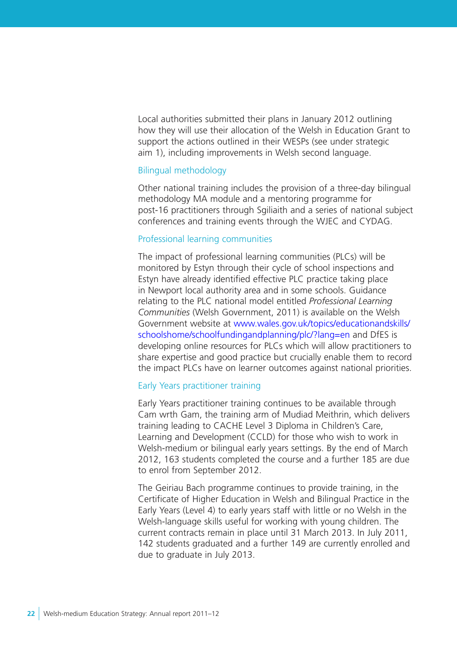Local authorities submitted their plans in January 2012 outlining how they will use their allocation of the Welsh in Education Grant to support the actions outlined in their WESPs (see under strategic aim 1), including improvements in Welsh second language.

#### Bilingual methodology

Other national training includes the provision of a three-day bilingual methodology MA module and a mentoring programme for post-16 practitioners through Sgiliaith and a series of national subject conferences and training events through the WJEC and CYDAG.

#### Professional learning communities

The impact of professional learning communities (PLCs) will be monitored by Estyn through their cycle of school inspections and Estyn have already identified effective PLC practice taking place in Newport local authority area and in some schools. Guidance relating to the PLC national model entitled *Professional Learning Communities* (Welsh Government, 2011) is available on the Welsh Government website at [www.wales.gov.uk/topics/educationandskills/](http://wales.gov.uk/topics/educationandskills/schoolshome/schoolfundingandplanning/plc/?lang=en) [schoolshome/schoolfundingandplanning/plc/?lang=en](http://wales.gov.uk/topics/educationandskills/schoolshome/schoolfundingandplanning/plc/?lang=en) and DfES is developing online resources for PLCs which will allow practitioners to share expertise and good practice but crucially enable them to record the impact PLCs have on learner outcomes against national priorities.

# Early Years practitioner training

Early Years practitioner training continues to be available through Cam wrth Gam, the training arm of Mudiad Meithrin, which delivers training leading to CACHE Level 3 Diploma in Children's Care, Learning and Development (CCLD) for those who wish to work in Welsh-medium or bilingual early years settings. By the end of March 2012, 163 students completed the course and a further 185 are due to enrol from September 2012.

The Geiriau Bach programme continues to provide training, in the Certificate of Higher Education in Welsh and Bilingual Practice in the Early Years (Level 4) to early years staff with little or no Welsh in the Welsh-language skills useful for working with young children. The current contracts remain in place until 31 March 2013. In July 2011, 142 students graduated and a further 149 are currently enrolled and due to graduate in July 2013.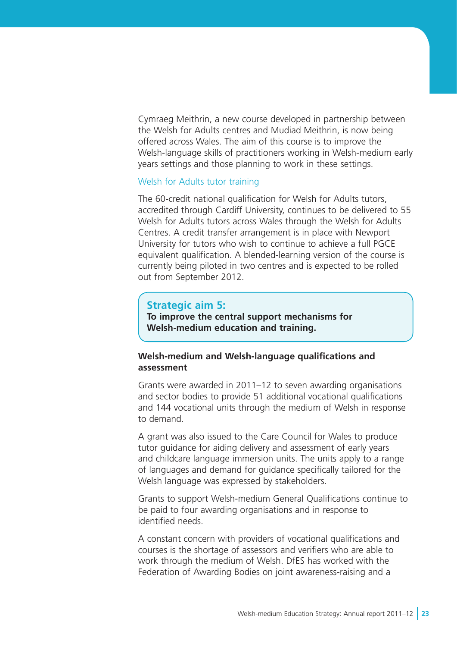Cymraeg Meithrin, a new course developed in partnership between the Welsh for Adults centres and Mudiad Meithrin, is now being offered across Wales. The aim of this course is to improve the Welsh-language skills of practitioners working in Welsh-medium early years settings and those planning to work in these settings.

#### Welsh for Adults tutor training

The 60-credit national qualification for Welsh for Adults tutors, accredited through Cardiff University, continues to be delivered to 55 Welsh for Adults tutors across Wales through the Welsh for Adults Centres. A credit transfer arrangement is in place with Newport University for tutors who wish to continue to achieve a full PGCE equivalent qualification. A blended-learning version of the course is currently being piloted in two centres and is expected to be rolled out from September 2012.

# **Strategic aim 5:**

**To improve the central support mechanisms for Welsh-medium education and training.** 

### **Welsh-medium and Welsh-language qualifications and assessment**

Grants were awarded in 2011–12 to seven awarding organisations and sector bodies to provide 51 additional vocational qualifications and 144 vocational units through the medium of Welsh in response to demand.

A grant was also issued to the Care Council for Wales to produce tutor guidance for aiding delivery and assessment of early years and childcare language immersion units. The units apply to a range of languages and demand for guidance specifically tailored for the Welsh language was expressed by stakeholders.

Grants to support Welsh-medium General Qualifications continue to be paid to four awarding organisations and in response to identified needs.

A constant concern with providers of vocational qualifications and courses is the shortage of assessors and verifiers who are able to work through the medium of Welsh. DfES has worked with the Federation of Awarding Bodies on joint awareness-raising and a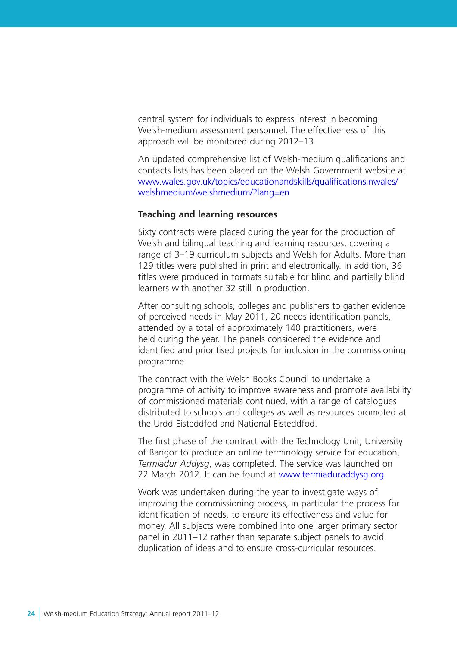central system for individuals to express interest in becoming Welsh-medium assessment personnel. The effectiveness of this approach will be monitored during 2012–13.

An updated comprehensive list of Welsh-medium qualifications and contacts lists has been placed on the Welsh Government website at [www.wales.gov.uk/topics/educationandskills/qualificationsinwales/](http://wales.gov.uk/topics/educationandskills/qualificationsinwales/welshmedium/welshmedium/?lang=en) welshmedium/welshmedium/?lang=en

### **Teaching and learning resources**

Sixty contracts were placed during the year for the production of Welsh and bilingual teaching and learning resources, covering a range of 3–19 curriculum subjects and Welsh for Adults. More than 129 titles were published in print and electronically. In addition, 36 titles were produced in formats suitable for blind and partially blind learners with another 32 still in production.

After consulting schools, colleges and publishers to gather evidence of perceived needs in May 2011, 20 needs identification panels, attended by a total of approximately 140 practitioners, were held during the year. The panels considered the evidence and identified and prioritised projects for inclusion in the commissioning programme.

The contract with the Welsh Books Council to undertake a programme of activity to improve awareness and promote availability of commissioned materials continued, with a range of catalogues distributed to schools and colleges as well as resources promoted at the Urdd Eisteddfod and National Eisteddfod.

The first phase of the contract with the Technology Unit, University of Bangor to produce an online terminology service for education, *Termiadur Addysg*, was completed. The service was launched on 22 March 2012. It can be found at www.termiaduraddysg.org

Work was undertaken during the year to investigate ways of improving the commissioning process, in particular the process for identification of needs, to ensure its effectiveness and value for money. All subjects were combined into one larger primary sector panel in 2011–12 rather than separate subject panels to avoid duplication of ideas and to ensure cross-curricular resources.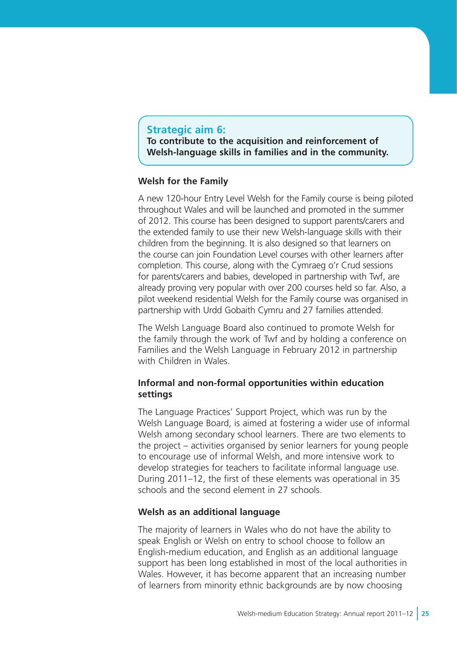# **Strategic aim 6:**

**To contribute to the acquisition and reinforcement of Welsh-language skills in families and in the community.**

# **Welsh for the Family**

A new 120-hour Entry Level Welsh for the Family course is being piloted throughout Wales and will be launched and promoted in the summer of 2012. This course has been designed to support parents/carers and the extended family to use their new Welsh-language skills with their children from the beginning. It is also designed so that learners on the course can join Foundation Level courses with other learners after completion. This course, along with the Cymraeg o'r Crud sessions for parents/carers and babies, developed in partnership with Twf, are already proving very popular with over 200 courses held so far. Also, a pilot weekend residential Welsh for the Family course was organised in partnership with Urdd Gobaith Cymru and 27 families attended.

The Welsh Language Board also continued to promote Welsh for the family through the work of Twf and by holding a conference on Families and the Welsh Language in February 2012 in partnership with Children in Wales.

# **Informal and non-formal opportunities within education settings**

The Language Practices' Support Project, which was run by the Welsh Language Board, is aimed at fostering a wider use of informal Welsh among secondary school learners. There are two elements to the project – activities organised by senior learners for young people to encourage use of informal Welsh, and more intensive work to develop strategies for teachers to facilitate informal language use. During 2011–12, the first of these elements was operational in 35 schools and the second element in 27 schools.

# **Welsh as an additional language**

The majority of learners in Wales who do not have the ability to speak English or Welsh on entry to school choose to follow an English-medium education, and English as an additional language support has been long established in most of the local authorities in Wales. However, it has become apparent that an increasing number of learners from minority ethnic backgrounds are by now choosing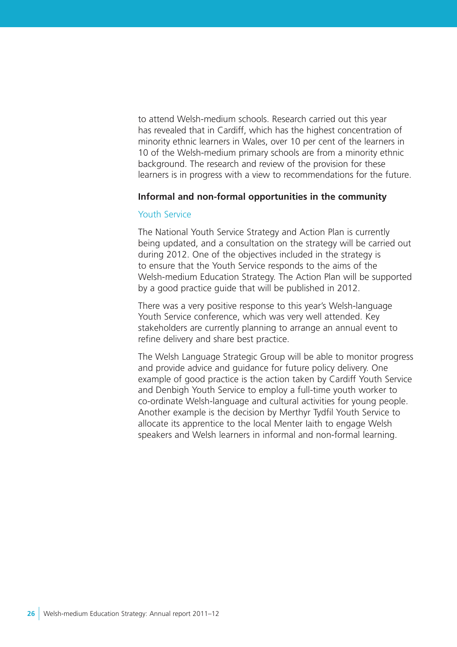to attend Welsh-medium schools. Research carried out this year has revealed that in Cardiff, which has the highest concentration of minority ethnic learners in Wales, over 10 per cent of the learners in 10 of the Welsh-medium primary schools are from a minority ethnic background. The research and review of the provision for these learners is in progress with a view to recommendations for the future.

#### **Informal and non-formal opportunities in the community**

# Youth Service

The National Youth Service Strategy and Action Plan is currently being updated, and a consultation on the strategy will be carried out during 2012. One of the objectives included in the strategy is to ensure that the Youth Service responds to the aims of the Welsh-medium Education Strategy. The Action Plan will be supported by a good practice guide that will be published in 2012.

There was a very positive response to this year's Welsh-language Youth Service conference, which was very well attended. Key stakeholders are currently planning to arrange an annual event to refine delivery and share best practice.

The Welsh Language Strategic Group will be able to monitor progress and provide advice and guidance for future policy delivery. One example of good practice is the action taken by Cardiff Youth Service and Denbigh Youth Service to employ a full-time youth worker to co-ordinate Welsh-language and cultural activities for young people. Another example is the decision by Merthyr Tydfil Youth Service to allocate its apprentice to the local Menter Iaith to engage Welsh speakers and Welsh learners in informal and non-formal learning.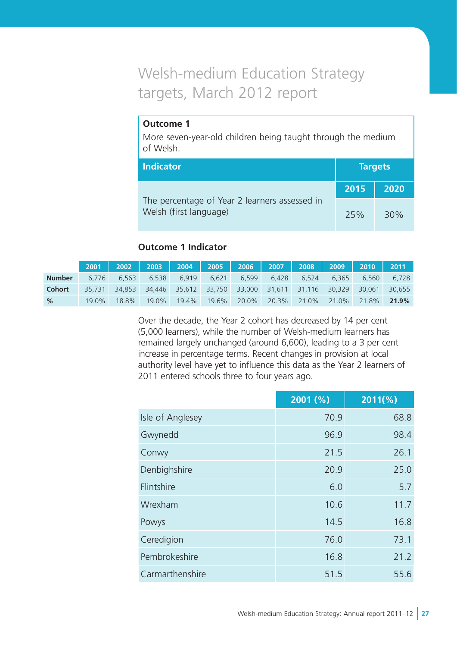# Welsh-medium Education Strategy targets, March 2012 report

# **Outcome 1**

More seven-year-old children being taught through the medium of Welsh.

| <b>Indicator</b>                                                        |      | <b>Targets</b> |
|-------------------------------------------------------------------------|------|----------------|
|                                                                         | 2015 | 2020           |
| The percentage of Year 2 learners assessed in<br>Welsh (first language) | 25%  | 30%            |

# **Outcome 1 Indicator**

|               | $2001$ $\parallel$ |        |        | 2002   2003   2004   2005   2006   2007   2008   2009 |       |       |       |             |       | $\parallel$ 2010 $\parallel$ | 2011   |
|---------------|--------------------|--------|--------|-------------------------------------------------------|-------|-------|-------|-------------|-------|------------------------------|--------|
| <b>Number</b> | 6.776              | 6.563  | 6.538  | 6.919                                                 | 6.621 | 6.599 | 6.428 | 6.524       | 6.365 | 6.560                        | 6.728  |
| <b>Cohort</b> | 35,731             | 34.853 | 34.446 | 35,612 33,750 33,000 31,611 31,116 30,329             |       |       |       |             |       | 30.061                       | 30.655 |
| $\%$          | 19.0%              | 18.8%  | 19.0%  | 19.4%                                                 | 19.6% | 20.0% |       | 20.3% 21.0% | 21.0% | 21.8%                        | 21.9%  |

Over the decade, the Year 2 cohort has decreased by 14 per cent (5,000 learners), while the number of Welsh-medium learners has remained largely unchanged (around 6,600), leading to a 3 per cent increase in percentage terms. Recent changes in provision at local authority level have yet to influence this data as the Year 2 learners of 2011 entered schools three to four years ago.

|                  | 2001(%) | $2011(\%)$ |
|------------------|---------|------------|
| Isle of Anglesey | 70.9    | 68.8       |
| Gwynedd          | 96.9    | 98.4       |
| Conwy            | 21.5    | 26.1       |
| Denbighshire     | 20.9    | 25.0       |
| Flintshire       | 6.0     | 5.7        |
| Wrexham          | 10.6    | 11.7       |
| Powys            | 14.5    | 16.8       |
| Ceredigion       | 76.0    | 73.1       |
| Pembrokeshire    | 16.8    | 21.2       |
| Carmarthenshire  | 51.5    | 55.6       |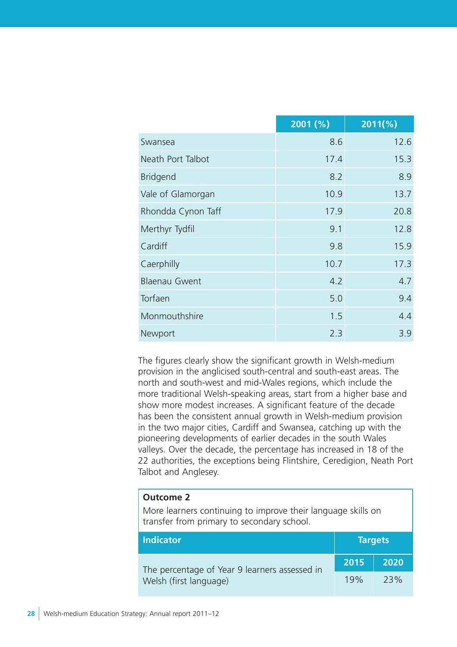|                      | 2001(%) | $2011(\%)$ |
|----------------------|---------|------------|
| Swansea              | 8.6     | 12.6       |
| Neath Port Talbot    | 17.4    | 15.3       |
| <b>Bridgend</b>      | 8.2     | 8.9        |
| Vale of Glamorgan    | 10.9    | 13.7       |
| Rhondda Cynon Taff   | 17.9    | 20.8       |
| Merthyr Tydfil       | 9.1     | 12.8       |
| Cardiff              | 9.8     | 15.9       |
| Caerphilly           | 10.7    | 17.3       |
| <b>Blaenau Gwent</b> | 4.2     | 4.7        |
| Torfaen              | 5.0     | 9.4        |
| Monmouthshire        | 1.5     | 4.4        |
| Newport              | 2.3     | 3.9        |

The figures clearly show the significant growth in Welsh-medium provision in the anglicised south-central and south-east areas. The north and south-west and mid-Wales regions, which include the more traditional Welsh-speaking areas, start from a higher base and show more modest increases. A significant feature of the decade has been the consistent annual growth in Welsh-medium provision in the two major cities, Cardiff and Swansea, catching up with the pioneering developments of earlier decades in the south Wales valleys. Over the decade, the percentage has increased in 18 of the 22 authorities, the exceptions being Flintshire, Ceredigion, Neath Port Talbot and Anglesey.

#### **Outcome 2**

More learners continuing to improve their language skills on transfer from primary to secondary school.

| <b>Indicator</b>                              |      | <b>Targets</b> |
|-----------------------------------------------|------|----------------|
| The percentage of Year 9 learners assessed in | 2015 | 2020           |
| Welsh (first language)                        | 19%  | 73%            |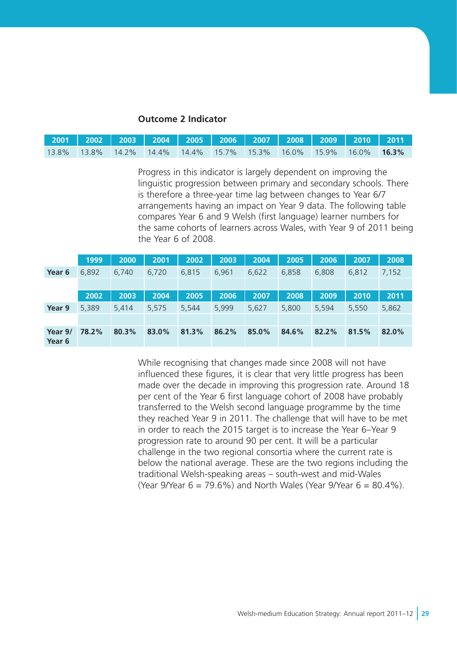#### **Outcome 2 Indicator**

| 2001   2002   2003   2004   2005   2006   2007   2008   2009   2010   2011 |  |  |  |  |  |
|----------------------------------------------------------------------------|--|--|--|--|--|
| 13.8% 13.8% 14.2% 14.4% 14.4% 15.7% 15.3% 16.0% 15.9% 16.0% <b>16.3%</b>   |  |  |  |  |  |

Progress in this indicator is largely dependent on improving the linguistic progression between primary and secondary schools. There is therefore a three-year time lag between changes to Year 6/7 arrangements having an impact on Year 9 data. The following table compares Year 6 and 9 Welsh (first language) learner numbers for the same cohorts of learners across Wales, with Year 9 of 2011 being the Year 6 of 2008.

|                   | 1999  | 2000  | 2001  | 2002  | 2003  | 2004  | 2005  | 2006  | 2007  | 2008  |
|-------------------|-------|-------|-------|-------|-------|-------|-------|-------|-------|-------|
| Year 6            | 6,892 | 6.740 | 6,720 | 6,815 | 6.961 | 6,622 | 6,858 | 6,808 | 6,812 | 7,152 |
|                   |       |       |       |       |       |       |       |       |       |       |
|                   | 2002  | 2003  | 2004  | 2005  | 2006  | 2007  | 2008  | 2009  | 2010  | 2011  |
| Year 9            | 5,389 | 5.414 | 5,575 | 5,544 | 5,999 | 5,627 | 5,800 | 5,594 | 5,550 | 5,862 |
|                   |       |       |       |       |       |       |       |       |       |       |
| Year 9/<br>Year 6 | 78.2% | 80.3% | 83.0% | 81.3% | 86.2% | 85.0% | 84.6% | 82.2% | 81.5% | 82.0% |

While recognising that changes made since 2008 will not have influenced these figures, it is clear that very little progress has been made over the decade in improving this progression rate. Around 18 per cent of the Year 6 first language cohort of 2008 have probably transferred to the Welsh second language programme by the time they reached Year 9 in 2011. The challenge that will have to be met in order to reach the 2015 target is to increase the Year 6–Year 9 progression rate to around 90 per cent. It will be a particular challenge in the two regional consortia where the current rate is below the national average. These are the two regions including the traditional Welsh-speaking areas – south-west and mid-Wales (Year 9/Year  $6 = 79.6\%$ ) and North Wales (Year 9/Year  $6 = 80.4\%$ ).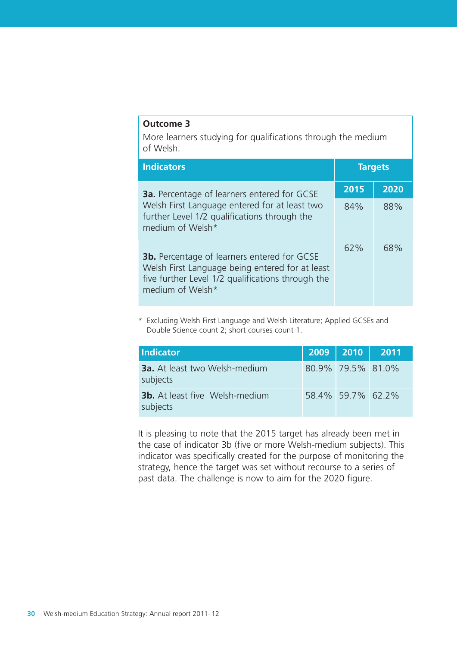# **Outcome 3**

More learners studying for qualifications through the medium of Welsh.

| <b>Indicators</b>                                                                                                                                                              | <b>Targets</b> |      |  |
|--------------------------------------------------------------------------------------------------------------------------------------------------------------------------------|----------------|------|--|
| <b>3a.</b> Percentage of learners entered for GCSE                                                                                                                             | 2015           | 2020 |  |
| Welsh First Language entered for at least two<br>further Level 1/2 qualifications through the<br>medium of Welsh*                                                              | 84%            | 88%  |  |
| <b>3b.</b> Percentage of learners entered for GCSE<br>Welsh First Language being entered for at least<br>five further Level 1/2 qualifications through the<br>medium of Welsh* | 62%            | 68%  |  |

\* Excluding Welsh First Language and Welsh Literature; Applied GCSEs and Double Science count 2; short courses count 1.

| <b>Indicator</b>                                  | 2009   2010   2011 |  |
|---------------------------------------------------|--------------------|--|
| <b>3a.</b> At least two Welsh-medium<br>subjects  | 80.9% 79.5% 81.0%  |  |
| <b>3b.</b> At least five Welsh-medium<br>subjects | 58.4% 59.7% 62.2%  |  |

It is pleasing to note that the 2015 target has already been met in the case of indicator 3b (five or more Welsh-medium subjects). This indicator was specifically created for the purpose of monitoring the strategy, hence the target was set without recourse to a series of past data. The challenge is now to aim for the 2020 figure.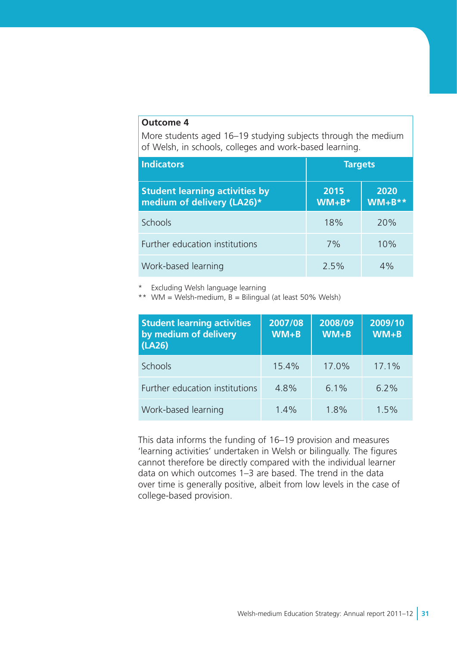### **Outcome 4**

More students aged 16–19 studying subjects through the medium of Welsh, in schools, colleges and work-based learning.

| <b>Indicators</b>                                                   | <b>Targets</b>    |                     |  |  |
|---------------------------------------------------------------------|-------------------|---------------------|--|--|
| <b>Student learning activities by</b><br>medium of delivery (LA26)* | 2015<br>$WM + B*$ | 2020<br>$WM + B$ ** |  |  |
| <b>Schools</b>                                                      | 18%               | 20%                 |  |  |
| Further education institutions                                      | 7%                | 10%                 |  |  |
| Work-based learning                                                 | 2.5%              | $4\%$               |  |  |

Excluding Welsh language learning

\*\* WM = Welsh-medium,  $B = B$ ilingual (at least 50% Welsh)

| <b>Student learning activities</b><br>by medium of delivery<br>(LA26) | 2007/08<br>$WW + B$ | 2008/09<br>$WM + B$ | 2009/10<br>$WM + B$ |
|-----------------------------------------------------------------------|---------------------|---------------------|---------------------|
| Schools                                                               | 15.4%               | 17.0%               | 17.1%               |
| Further education institutions                                        | 4.8%                | 6.1%                | $6.2\%$             |
| Work-based learning                                                   | 1.4%                | 1.8%                | 1.5%                |

This data informs the funding of 16–19 provision and measures 'learning activities' undertaken in Welsh or bilingually. The figures cannot therefore be directly compared with the individual learner data on which outcomes 1–3 are based. The trend in the data over time is generally positive, albeit from low levels in the case of college-based provision.